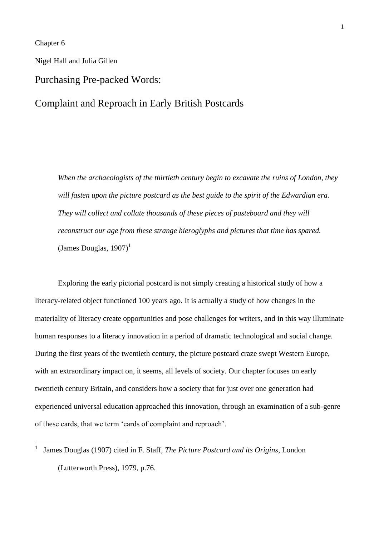Chapter 6

-

Nigel Hall and Julia Gillen

# Purchasing Pre-packed Words:

# Complaint and Reproach in Early British Postcards

*When the archaeologists of the thirtieth century begin to excavate the ruins of London, they*  will fasten upon the picture postcard as the best guide to the spirit of the Edwardian era. *They will collect and collate thousands of these pieces of pasteboard and they will reconstruct our age from these strange hieroglyphs and pictures that time has spared.* (James Douglas,  $1907$ )<sup>1</sup>

Exploring the early pictorial postcard is not simply creating a historical study of how a literacy-related object functioned 100 years ago. It is actually a study of how changes in the materiality of literacy create opportunities and pose challenges for writers, and in this way illuminate human responses to a literacy innovation in a period of dramatic technological and social change. During the first years of the twentieth century, the picture postcard craze swept Western Europe, with an extraordinary impact on, it seems, all levels of society. Our chapter focuses on early twentieth century Britain, and considers how a society that for just over one generation had experienced universal education approached this innovation, through an examination of a sub-genre of these cards, that we term 'cards of complaint and reproach'.

<sup>1</sup> James Douglas (1907) cited in F. Staff, *The Picture Postcard and its Origins*, London (Lutterworth Press), 1979, p.76.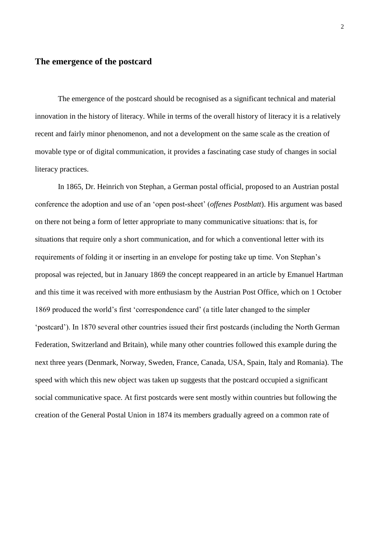## **The emergence of the postcard**

The emergence of the postcard should be recognised as a significant technical and material innovation in the history of literacy. While in terms of the overall history of literacy it is a relatively recent and fairly minor phenomenon, and not a development on the same scale as the creation of movable type or of digital communication, it provides a fascinating case study of changes in social literacy practices.

In 1865, Dr. Heinrich von Stephan, a German postal official, proposed to an Austrian postal conference the adoption and use of an 'open post-sheet' (*offenes Postblatt*). His argument was based on there not being a form of letter appropriate to many communicative situations: that is, for situations that require only a short communication, and for which a conventional letter with its requirements of folding it or inserting in an envelope for posting take up time. Von Stephan's proposal was rejected, but in January 1869 the concept reappeared in an article by Emanuel Hartman and this time it was received with more enthusiasm by the Austrian Post Office, which on 1 October 1869 produced the world's first 'correspondence card' (a title later changed to the simpler 'postcard'). In 1870 several other countries issued their first postcards (including the North German Federation, Switzerland and Britain), while many other countries followed this example during the next three years (Denmark, Norway, Sweden, France, Canada, USA, Spain, Italy and Romania). The speed with which this new object was taken up suggests that the postcard occupied a significant social communicative space. At first postcards were sent mostly within countries but following the creation of the General Postal Union in 1874 its members gradually agreed on a common rate of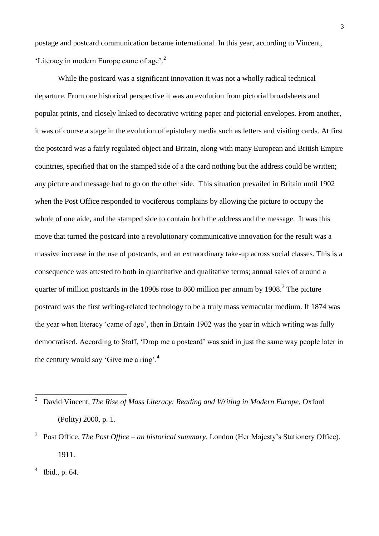postage and postcard communication became international. In this year, according to Vincent, 'Literacy in modern Europe came of age'.<sup>2</sup>

While the postcard was a significant innovation it was not a wholly radical technical departure. From one historical perspective it was an evolution from pictorial broadsheets and popular prints, and closely linked to decorative writing paper and pictorial envelopes. From another, it was of course a stage in the evolution of epistolary media such as letters and visiting cards. At first the postcard was a fairly regulated object and Britain, along with many European and British Empire countries, specified that on the stamped side of a the card nothing but the address could be written; any picture and message had to go on the other side. This situation prevailed in Britain until 1902 when the Post Office responded to vociferous complains by allowing the picture to occupy the whole of one aide, and the stamped side to contain both the address and the message. It was this move that turned the postcard into a revolutionary communicative innovation for the result was a massive increase in the use of postcards, and an extraordinary take-up across social classes. This is a consequence was attested to both in quantitative and qualitative terms; annual sales of around a quarter of million postcards in the 1890s rose to 860 million per annum by 1908.<sup>3</sup> The picture postcard was the first writing-related technology to be a truly mass vernacular medium. If 1874 was the year when literacy 'came of age', then in Britain 1902 was the year in which writing was fully democratised. According to Staff, 'Drop me a postcard' was said in just the same way people later in the century would say 'Give me a ring'.<sup>4</sup>

 $4$  Ibid., p. 64.

 2 David Vincent, *The Rise of Mass Literacy: Reading and Writing in Modern Europe*, Oxford (Polity) 2000, p. 1.

<sup>&</sup>lt;sup>3</sup> Post Office, *The Post Office – an historical summary*, London (Her Majesty's Stationery Office), 1911.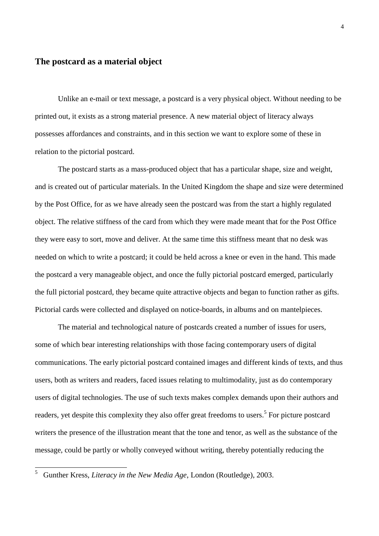## **The postcard as a material object**

Unlike an e-mail or text message, a postcard is a very physical object. Without needing to be printed out, it exists as a strong material presence. A new material object of literacy always possesses affordances and constraints, and in this section we want to explore some of these in relation to the pictorial postcard.

The postcard starts as a mass-produced object that has a particular shape, size and weight, and is created out of particular materials. In the United Kingdom the shape and size were determined by the Post Office, for as we have already seen the postcard was from the start a highly regulated object. The relative stiffness of the card from which they were made meant that for the Post Office they were easy to sort, move and deliver. At the same time this stiffness meant that no desk was needed on which to write a postcard; it could be held across a knee or even in the hand. This made the postcard a very manageable object, and once the fully pictorial postcard emerged, particularly the full pictorial postcard, they became quite attractive objects and began to function rather as gifts. Pictorial cards were collected and displayed on notice-boards, in albums and on mantelpieces.

The material and technological nature of postcards created a number of issues for users, some of which bear interesting relationships with those facing contemporary users of digital communications. The early pictorial postcard contained images and different kinds of texts, and thus users, both as writers and readers, faced issues relating to multimodality, just as do contemporary users of digital technologies. The use of such texts makes complex demands upon their authors and readers, yet despite this complexity they also offer great freedoms to users.<sup>5</sup> For picture postcard writers the presence of the illustration meant that the tone and tenor, as well as the substance of the message, could be partly or wholly conveyed without writing, thereby potentially reducing the

 5 Gunther Kress, *Literacy in the New Media Age*, London (Routledge), 2003.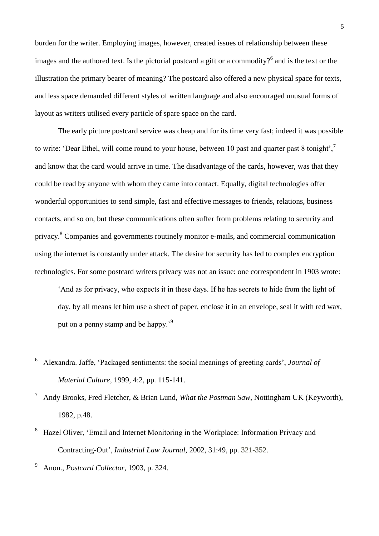burden for the writer. Employing images, however, created issues of relationship between these images and the authored text. Is the pictorial postcard a gift or a commodity?<sup>6</sup> and is the text or the illustration the primary bearer of meaning? The postcard also offered a new physical space for texts, and less space demanded different styles of written language and also encouraged unusual forms of layout as writers utilised every particle of spare space on the card.

The early picture postcard service was cheap and for its time very fast; indeed it was possible to write: 'Dear Ethel, will come round to your house, between 10 past and quarter past 8 tonight', and know that the card would arrive in time. The disadvantage of the cards, however, was that they could be read by anyone with whom they came into contact. Equally, digital technologies offer wonderful opportunities to send simple, fast and effective messages to friends, relations, business contacts, and so on, but these communications often suffer from problems relating to security and privacy.<sup>8</sup> Companies and governments routinely monitor e-mails, and commercial communication using the internet is constantly under attack. The desire for security has led to complex encryption technologies. For some postcard writers privacy was not an issue: one correspondent in 1903 wrote:

'And as for privacy, who expects it in these days. If he has secrets to hide from the light of day, by all means let him use a sheet of paper, enclose it in an envelope, seal it with red wax, put on a penny stamp and be happy.'<sup>9</sup>

- 8 Hazel Oliver, 'Email and Internet Monitoring in the Workplace: Information Privacy and Contracting-Out', *[Industrial Law Journal](http://www.ingentaconnect.com/content/oup/indlaw;jsessionid=9xyvktd2hx8f.henrietta)*, 2002, 31:49, pp. 321-352.
- 9 Anon., *Postcard Collector*, 1903, p. 324.

 6 Alexandra. Jaffe, 'Packaged sentiments: the social meanings of greeting cards', *Journal of Material Culture*, 1999, 4:2, pp. 115-141.

<sup>7</sup> Andy Brooks, Fred Fletcher, & Brian Lund, *What the Postman Saw*, Nottingham UK (Keyworth), 1982, p.48.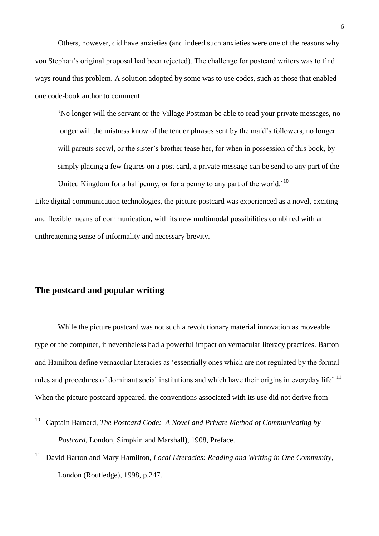Others, however, did have anxieties (and indeed such anxieties were one of the reasons why von Stephan's original proposal had been rejected). The challenge for postcard writers was to find ways round this problem. A solution adopted by some was to use codes, such as those that enabled one code-book author to comment:

'No longer will the servant or the Village Postman be able to read your private messages, no longer will the mistress know of the tender phrases sent by the maid's followers, no longer will parents scowl, or the sister's brother tease her, for when in possession of this book, by simply placing a few figures on a post card, a private message can be send to any part of the United Kingdom for a halfpenny, or for a penny to any part of the world.<sup>'10</sup>

Like digital communication technologies, the picture postcard was experienced as a novel, exciting and flexible means of communication, with its new multimodal possibilities combined with an unthreatening sense of informality and necessary brevity.

## **The postcard and popular writing**

While the picture postcard was not such a revolutionary material innovation as moveable type or the computer, it nevertheless had a powerful impact on vernacular literacy practices. Barton and Hamilton define vernacular literacies as 'essentially ones which are not regulated by the formal rules and procedures of dominant social institutions and which have their origins in everyday life'.<sup>11</sup> When the picture postcard appeared, the conventions associated with its use did not derive from

 10 Captain Barnard, *The Postcard Code: A Novel and Private Method of Communicating by Postcard*, London, Simpkin and Marshall), 1908, Preface.

<sup>11</sup> David Barton and Mary Hamilton, *Local Literacies: Reading and Writing in One Community*, London (Routledge), 1998, p.247.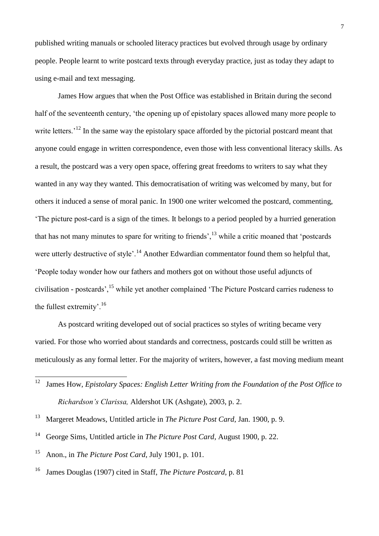published writing manuals or schooled literacy practices but evolved through usage by ordinary people. People learnt to write postcard texts through everyday practice, just as today they adapt to using e-mail and text messaging.

James How argues that when the Post Office was established in Britain during the second half of the seventeenth century, 'the opening up of epistolary spaces allowed many more people to write letters.<sup>'12</sup> In the same way the epistolary space afforded by the pictorial postcard meant that anyone could engage in written correspondence, even those with less conventional literacy skills. As a result, the postcard was a very open space, offering great freedoms to writers to say what they wanted in any way they wanted. This democratisation of writing was welcomed by many, but for others it induced a sense of moral panic. In 1900 one writer welcomed the postcard, commenting, 'The picture post-card is a sign of the times. It belongs to a period peopled by a hurried generation that has not many minutes to spare for writing to friends', $\frac{13}{13}$  while a critic moaned that 'postcards' were utterly destructive of style'.<sup>14</sup> Another Edwardian commentator found them so helpful that, 'People today wonder how our fathers and mothers got on without those useful adjuncts of civilisation - postcards',<sup>15</sup> while yet another complained 'The Picture Postcard carries rudeness to the fullest extremity'.<sup>16</sup>

As postcard writing developed out of social practices so styles of writing became very varied. For those who worried about standards and correctness, postcards could still be written as meticulously as any formal letter. For the majority of writers, however, a fast moving medium meant

- 14 George Sims, Untitled article in *The Picture Post Card*, August 1900, p. 22.
- 15 Anon., in *The Picture Post Card*, July 1901, p. 101.
- 16 James Douglas (1907) cited in Staff, *The Picture Postcard*, p. 81

 12 James How, *Epistolary Spaces: English Letter Writing from the Foundation of the Post Office to Richardson's Clarissa,* Aldershot UK (Ashgate), 2003, p. 2.

<sup>13</sup> Margeret Meadows, Untitled article in *The Picture Post Card*, Jan. 1900, p. 9.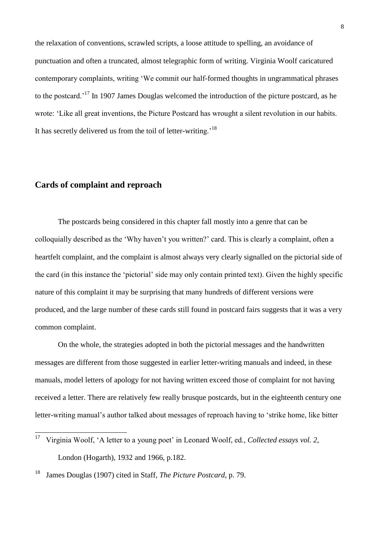the relaxation of conventions, scrawled scripts, a loose attitude to spelling, an avoidance of punctuation and often a truncated, almost telegraphic form of writing. Virginia Woolf caricatured contemporary complaints, writing 'We commit our half-formed thoughts in ungrammatical phrases to the postcard.'<sup>17</sup> In 1907 James Douglas welcomed the introduction of the picture postcard, as he wrote: 'Like all great inventions, the Picture Postcard has wrought a silent revolution in our habits. It has secretly delivered us from the toil of letter-writing.<sup>'18</sup>

## **Cards of complaint and reproach**

The postcards being considered in this chapter fall mostly into a genre that can be colloquially described as the 'Why haven't you written?' card. This is clearly a complaint, often a heartfelt complaint, and the complaint is almost always very clearly signalled on the pictorial side of the card (in this instance the 'pictorial' side may only contain printed text). Given the highly specific nature of this complaint it may be surprising that many hundreds of different versions were produced, and the large number of these cards still found in postcard fairs suggests that it was a very common complaint.

On the whole, the strategies adopted in both the pictorial messages and the handwritten messages are different from those suggested in earlier letter-writing manuals and indeed, in these manuals, model letters of apology for not having written exceed those of complaint for not having received a letter. There are relatively few really brusque postcards, but in the eighteenth century one letter-writing manual's author talked about messages of reproach having to 'strike home, like bitter

 17 Virginia Woolf, 'A letter to a young poet' in Leonard Woolf, ed., *Collected essays vol. 2*, London (Hogarth), 1932 and 1966, p.182.

<sup>18</sup> James Douglas (1907) cited in Staff, *The Picture Postcard*, p. 79.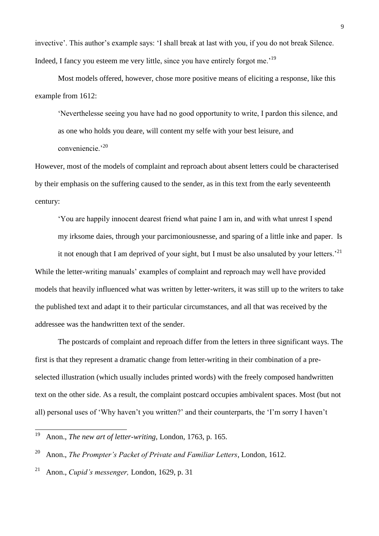invective'. This author's example says: 'I shall break at last with you, if you do not break Silence. Indeed, I fancy you esteem me very little, since you have entirely forgot me.'<sup>19</sup>

Most models offered, however, chose more positive means of eliciting a response, like this example from 1612:

'Neverthelesse seeing you have had no good opportunity to write, I pardon this silence, and as one who holds you deare, will content my selfe with your best leisure, and conveniencie.<sup>'20</sup>

However, most of the models of complaint and reproach about absent letters could be characterised by their emphasis on the suffering caused to the sender, as in this text from the early seventeenth century:

'You are happily innocent dearest friend what paine I am in, and with what unrest I spend my irksome daies, through your parcimoniousnesse, and sparing of a little inke and paper. Is it not enough that I am deprived of your sight, but I must be also unsaluted by your letters.<sup>21</sup> While the letter-writing manuals' examples of complaint and reproach may well have provided models that heavily influenced what was written by letter-writers, it was still up to the writers to take the published text and adapt it to their particular circumstances, and all that was received by the

addressee was the handwritten text of the sender.

The postcards of complaint and reproach differ from the letters in three significant ways. The first is that they represent a dramatic change from letter-writing in their combination of a preselected illustration (which usually includes printed words) with the freely composed handwritten text on the other side. As a result, the complaint postcard occupies ambivalent spaces. Most (but not all) personal uses of 'Why haven't you written?' and their counterparts, the 'I'm sorry I haven't

 $\frac{1}{19}$ Anon., *The new art of letter-writing*, London, 1763, p. 165.

<sup>20</sup> Anon., *The Prompter's Packet of Private and Familiar Letters*, London, 1612.

<sup>21</sup> Anon., *Cupid's messenger,* London, 1629, p. 31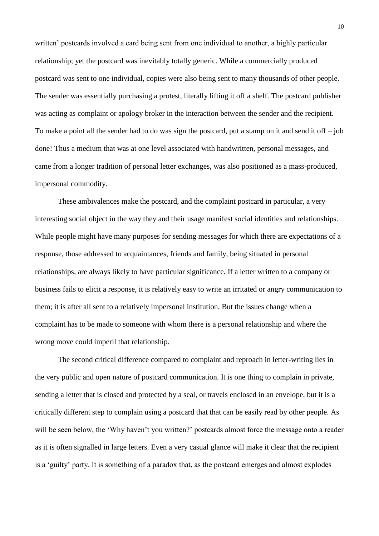written' postcards involved a card being sent from one individual to another, a highly particular relationship; yet the postcard was inevitably totally generic. While a commercially produced postcard was sent to one individual, copies were also being sent to many thousands of other people. The sender was essentially purchasing a protest, literally lifting it off a shelf. The postcard publisher was acting as complaint or apology broker in the interaction between the sender and the recipient. To make a point all the sender had to do was sign the postcard, put a stamp on it and send it off  $-$  job done! Thus a medium that was at one level associated with handwritten, personal messages, and came from a longer tradition of personal letter exchanges, was also positioned as a mass-produced, impersonal commodity.

These ambivalences make the postcard, and the complaint postcard in particular, a very interesting social object in the way they and their usage manifest social identities and relationships. While people might have many purposes for sending messages for which there are expectations of a response, those addressed to acquaintances, friends and family, being situated in personal relationships, are always likely to have particular significance. If a letter written to a company or business fails to elicit a response, it is relatively easy to write an irritated or angry communication to them; it is after all sent to a relatively impersonal institution. But the issues change when a complaint has to be made to someone with whom there is a personal relationship and where the wrong move could imperil that relationship.

The second critical difference compared to complaint and reproach in letter-writing lies in the very public and open nature of postcard communication. It is one thing to complain in private, sending a letter that is closed and protected by a seal, or travels enclosed in an envelope, but it is a critically different step to complain using a postcard that that can be easily read by other people. As will be seen below, the 'Why haven't you written?' postcards almost force the message onto a reader as it is often signalled in large letters. Even a very casual glance will make it clear that the recipient is a 'guilty' party. It is something of a paradox that, as the postcard emerges and almost explodes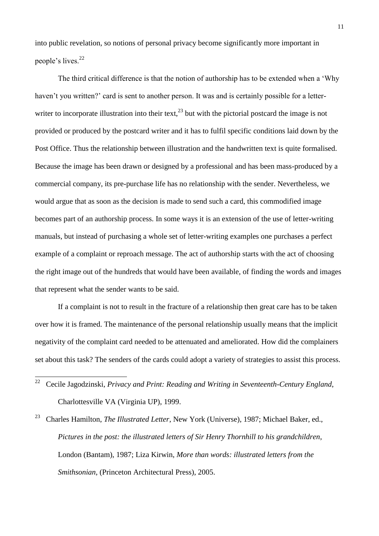into public revelation, so notions of personal privacy become significantly more important in people's lives.<sup>22</sup>

The third critical difference is that the notion of authorship has to be extended when a 'Why haven't you written?' card is sent to another person. It was and is certainly possible for a letterwriter to incorporate illustration into their text,  $^{23}$  but with the pictorial postcard the image is not provided or produced by the postcard writer and it has to fulfil specific conditions laid down by the Post Office. Thus the relationship between illustration and the handwritten text is quite formalised. Because the image has been drawn or designed by a professional and has been mass-produced by a commercial company, its pre-purchase life has no relationship with the sender. Nevertheless, we would argue that as soon as the decision is made to send such a card, this commodified image becomes part of an authorship process. In some ways it is an extension of the use of letter-writing manuals, but instead of purchasing a whole set of letter-writing examples one purchases a perfect example of a complaint or reproach message. The act of authorship starts with the act of choosing the right image out of the hundreds that would have been available, of finding the words and images that represent what the sender wants to be said.

If a complaint is not to result in the fracture of a relationship then great care has to be taken over how it is framed. The maintenance of the personal relationship usually means that the implicit negativity of the complaint card needed to be attenuated and ameliorated. How did the complainers set about this task? The senders of the cards could adopt a variety of strategies to assist this process.

<sup>22</sup>  Cecile Jagodzinski, *Privacy and Print: Reading and Writing in Seventeenth-Century England*, Charlottesville VA (Virginia UP), 1999.

<sup>23</sup> Charles Hamilton, *The Illustrated Letter*, New York (Universe), 1987; Michael Baker, ed., *Pictures in the post: the illustrated letters of Sir Henry Thornhill to his grandchildren*, London (Bantam), 1987; Liza Kirwin, *More than words: illustrated letters from the Smithsonian*, (Princeton Architectural Press), 2005.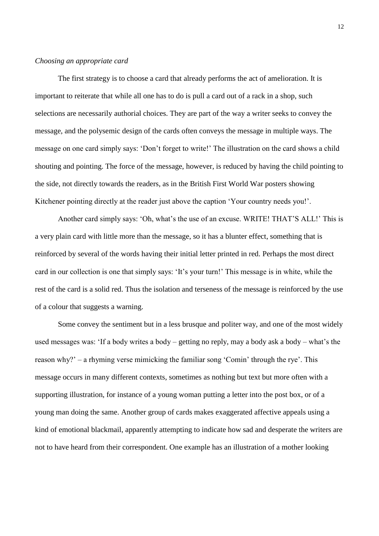#### *Choosing an appropriate card*

The first strategy is to choose a card that already performs the act of amelioration. It is important to reiterate that while all one has to do is pull a card out of a rack in a shop, such selections are necessarily authorial choices. They are part of the way a writer seeks to convey the message, and the polysemic design of the cards often conveys the message in multiple ways. The message on one card simply says: 'Don't forget to write!' The illustration on the card shows a child shouting and pointing. The force of the message, however, is reduced by having the child pointing to the side, not directly towards the readers, as in the British First World War posters showing Kitchener pointing directly at the reader just above the caption 'Your country needs you!'.

Another card simply says: 'Oh, what's the use of an excuse. WRITE! THAT'S ALL!' This is a very plain card with little more than the message, so it has a blunter effect, something that is reinforced by several of the words having their initial letter printed in red. Perhaps the most direct card in our collection is one that simply says: 'It's your turn!' This message is in white, while the rest of the card is a solid red. Thus the isolation and terseness of the message is reinforced by the use of a colour that suggests a warning.

Some convey the sentiment but in a less brusque and politer way, and one of the most widely used messages was: 'If a body writes a body – getting no reply, may a body ask a body – what's the reason why?' – a rhyming verse mimicking the familiar song 'Comin' through the rye'. This message occurs in many different contexts, sometimes as nothing but text but more often with a supporting illustration, for instance of a young woman putting a letter into the post box, or of a young man doing the same. Another group of cards makes exaggerated affective appeals using a kind of emotional blackmail, apparently attempting to indicate how sad and desperate the writers are not to have heard from their correspondent. One example has an illustration of a mother looking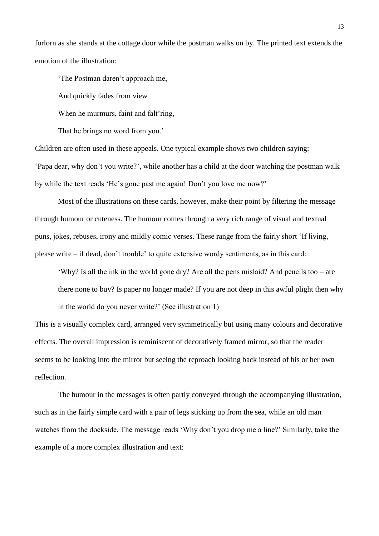forlorn as she stands at the cottage door while the postman walks on by. The printed text extends the emotion of the illustration:

'The Postman daren't approach me,

And quickly fades from view

When he murmurs, faint and falt'ring,

That he brings no word from you.'

Children are often used in these appeals. One typical example shows two children saying: 'Papa dear, why don't you write?', while another has a child at the door watching the postman walk by while the text reads 'He's gone past me again! Don't you love me now?'

Most of the illustrations on these cards, however, make their point by filtering the message through humour or cuteness. The humour comes through a very rich range of visual and textual puns, jokes, rebuses, irony and mildly comic verses. These range from the fairly short 'If living, please write – if dead, don't trouble' to quite extensive wordy sentiments, as in this card:

'Why? Is all the ink in the world gone dry? Are all the pens mislaid? And pencils too – are there none to buy? Is paper no longer made? If you are not deep in this awful plight then why in the world do you never write?' (See illustration 1)

This is a visually complex card, arranged very symmetrically but using many colours and decorative effects. The overall impression is reminiscent of decoratively framed mirror, so that the reader seems to be looking into the mirror but seeing the reproach looking back instead of his or her own reflection.

The humour in the messages is often partly conveyed through the accompanying illustration, such as in the fairly simple card with a pair of legs sticking up from the sea, while an old man watches from the dockside. The message reads 'Why don't you drop me a line?' Similarly, take the example of a more complex illustration and text: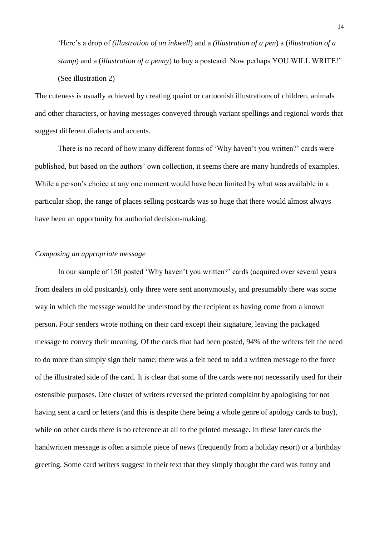'Here's a drop of *(illustration of an inkwell*) and a *(illustration of a pen*) a (*illustration of a stamp*) and a (*illustration of a penny*) to buy a postcard. Now perhaps YOU WILL WRITE!' (See illustration 2)

The cuteness is usually achieved by creating quaint or cartoonish illustrations of children, animals and other characters, or having messages conveyed through variant spellings and regional words that suggest different dialects and accents.

There is no record of how many different forms of 'Why haven't you written?' cards were published, but based on the authors' own collection, it seems there are many hundreds of examples. While a person's choice at any one moment would have been limited by what was available in a particular shop, the range of places selling postcards was so huge that there would almost always have been an opportunity for authorial decision-making.

## *Composing an appropriate message*

In our sample of 150 posted 'Why haven't you written?' cards (acquired over several years from dealers in old postcards), only three were sent anonymously, and presumably there was some way in which the message would be understood by the recipient as having come from a known person**.** Four senders wrote nothing on their card except their signature, leaving the packaged message to convey their meaning. Of the cards that had been posted, 94% of the writers felt the need to do more than simply sign their name; there was a felt need to add a written message to the force of the illustrated side of the card. It is clear that some of the cards were not necessarily used for their ostensible purposes. One cluster of writers reversed the printed complaint by apologising for not having sent a card or letters (and this is despite there being a whole genre of apology cards to buy), while on other cards there is no reference at all to the printed message. In these later cards the handwritten message is often a simple piece of news (frequently from a holiday resort) or a birthday greeting. Some card writers suggest in their text that they simply thought the card was funny and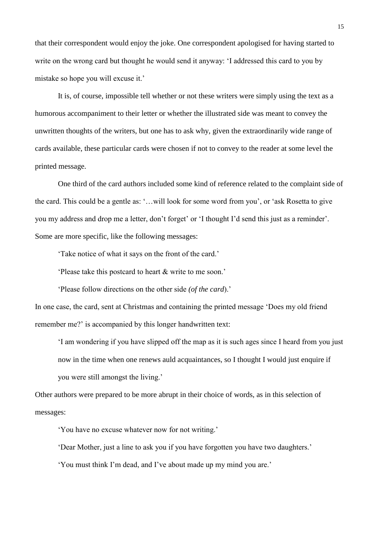that their correspondent would enjoy the joke. One correspondent apologised for having started to write on the wrong card but thought he would send it anyway: 'I addressed this card to you by mistake so hope you will excuse it.'

It is, of course, impossible tell whether or not these writers were simply using the text as a humorous accompaniment to their letter or whether the illustrated side was meant to convey the unwritten thoughts of the writers, but one has to ask why, given the extraordinarily wide range of cards available, these particular cards were chosen if not to convey to the reader at some level the printed message.

One third of the card authors included some kind of reference related to the complaint side of the card. This could be a gentle as: '…will look for some word from you', or 'ask Rosetta to give you my address and drop me a letter, don't forget' or 'I thought I'd send this just as a reminder'. Some are more specific, like the following messages:

'Take notice of what it says on the front of the card.'

'Please take this postcard to heart & write to me soon.'

'Please follow directions on the other side *(of the card*).'

In one case, the card, sent at Christmas and containing the printed message 'Does my old friend remember me?' is accompanied by this longer handwritten text:

'I am wondering if you have slipped off the map as it is such ages since I heard from you just now in the time when one renews auld acquaintances, so I thought I would just enquire if you were still amongst the living.'

Other authors were prepared to be more abrupt in their choice of words, as in this selection of messages:

'You have no excuse whatever now for not writing.'

'Dear Mother, just a line to ask you if you have forgotten you have two daughters.'

'You must think I'm dead, and I've about made up my mind you are.'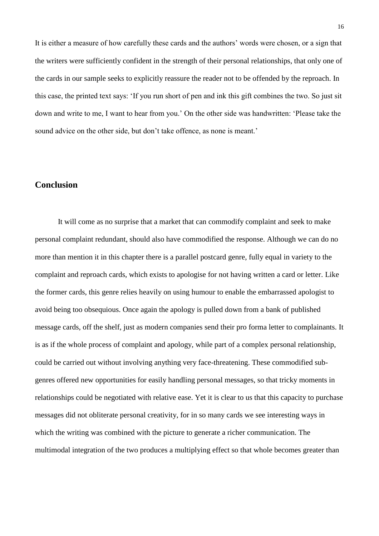It is either a measure of how carefully these cards and the authors' words were chosen, or a sign that the writers were sufficiently confident in the strength of their personal relationships, that only one of the cards in our sample seeks to explicitly reassure the reader not to be offended by the reproach. In this case, the printed text says: 'If you run short of pen and ink this gift combines the two. So just sit down and write to me, I want to hear from you.' On the other side was handwritten: 'Please take the sound advice on the other side, but don't take offence, as none is meant.'

## **Conclusion**

It will come as no surprise that a market that can commodify complaint and seek to make personal complaint redundant, should also have commodified the response. Although we can do no more than mention it in this chapter there is a parallel postcard genre, fully equal in variety to the complaint and reproach cards, which exists to apologise for not having written a card or letter. Like the former cards, this genre relies heavily on using humour to enable the embarrassed apologist to avoid being too obsequious. Once again the apology is pulled down from a bank of published message cards, off the shelf, just as modern companies send their pro forma letter to complainants. It is as if the whole process of complaint and apology, while part of a complex personal relationship, could be carried out without involving anything very face-threatening. These commodified subgenres offered new opportunities for easily handling personal messages, so that tricky moments in relationships could be negotiated with relative ease. Yet it is clear to us that this capacity to purchase messages did not obliterate personal creativity, for in so many cards we see interesting ways in which the writing was combined with the picture to generate a richer communication. The multimodal integration of the two produces a multiplying effect so that whole becomes greater than